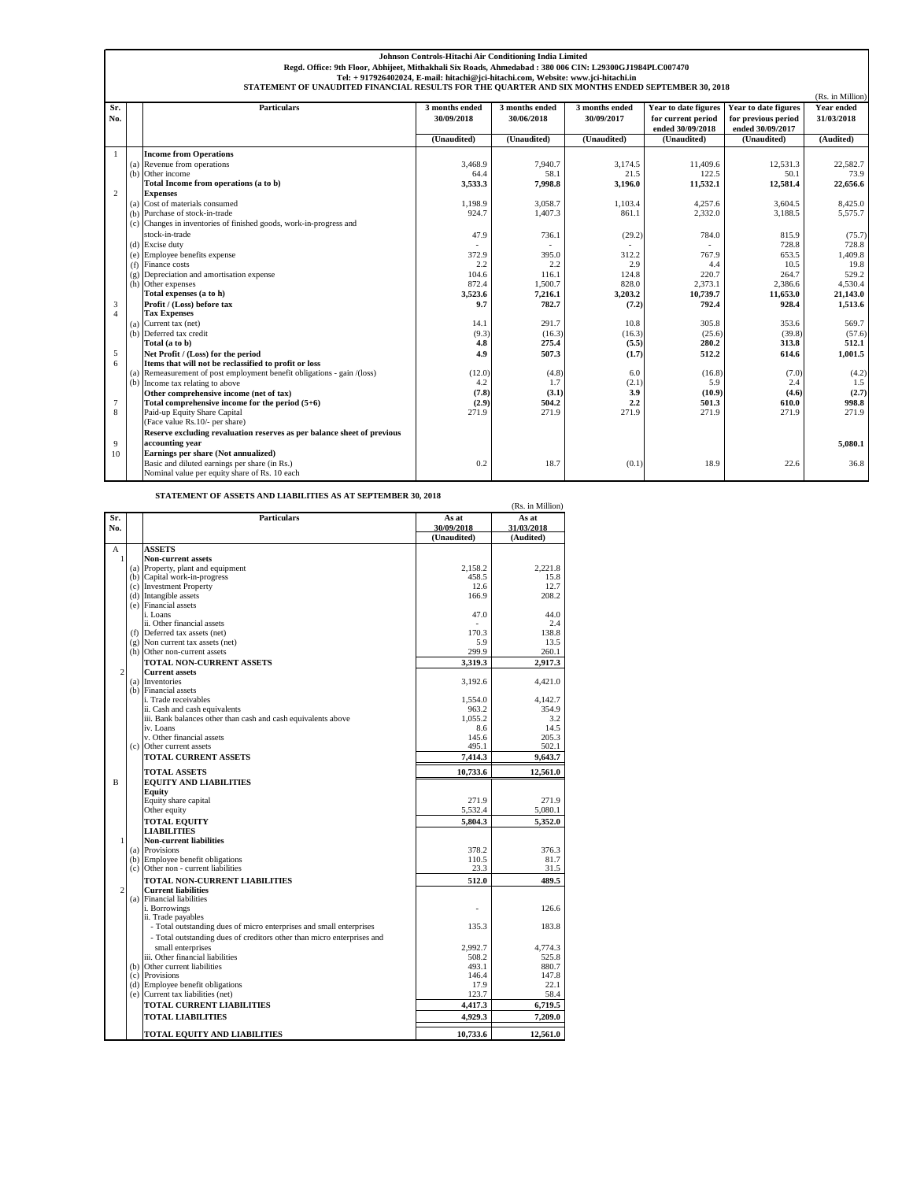|                | Johnson Controls-Hitachi Air Conditioning India Limited                                          |                                                                                                        |                |                |                |                      |                      |                  |  |  |
|----------------|--------------------------------------------------------------------------------------------------|--------------------------------------------------------------------------------------------------------|----------------|----------------|----------------|----------------------|----------------------|------------------|--|--|
|                |                                                                                                  | Regd. Office: 9th Floor, Abhijeet, Mithakhali Six Roads, Ahmedabad: 380 006 CIN: L29300GJ1984PLC007470 |                |                |                |                      |                      |                  |  |  |
|                | Tel: + 917926402024, E-mail: hitachi@jci-hitachi.com, Website: www.jci-hitachi.in                |                                                                                                        |                |                |                |                      |                      |                  |  |  |
|                | STATEMENT OF UNAUDITED FINANCIAL RESULTS FOR THE QUARTER AND SIX MONTHS ENDED SEPTEMBER 30, 2018 |                                                                                                        |                |                |                |                      |                      |                  |  |  |
|                |                                                                                                  |                                                                                                        |                |                |                |                      |                      | (Rs. in Million) |  |  |
| Sr.            |                                                                                                  | <b>Particulars</b>                                                                                     | 3 months ended | 3 months ended | 3 months ended | Year to date figures | Year to date figures | Year ended       |  |  |
| No.            |                                                                                                  |                                                                                                        | 30/09/2018     | 30/06/2018     | 30/09/2017     | for current period   | for previous period  | 31/03/2018       |  |  |
|                |                                                                                                  |                                                                                                        |                |                |                | ended 30/09/2018     | ended 30/09/2017     |                  |  |  |
|                |                                                                                                  |                                                                                                        | (Unaudited)    | (Unaudited)    | (Unaudited)    | (Unaudited)          | (Unaudited)          | (Audited)        |  |  |
| 1              |                                                                                                  | <b>Income from Operations</b>                                                                          |                |                |                |                      |                      |                  |  |  |
|                | (a)                                                                                              | Revenue from operations                                                                                | 3,468.9        | 7.940.7        | 3.174.5        | 11,409.6             | 12,531.3             | 22,582.7         |  |  |
|                |                                                                                                  | (b) Other income                                                                                       | 64.4           | 58.1           | 21.5           | 122.5                | 50.1                 | 73.9             |  |  |
|                |                                                                                                  | Total Income from operations (a to b)                                                                  | 3.533.3        | 7.998.8        | 3.196.0        | 11,532.1             | 12,581.4             | 22,656.6         |  |  |
| 2              |                                                                                                  | <b>Expenses</b>                                                                                        |                |                |                |                      |                      |                  |  |  |
|                |                                                                                                  | (a) Cost of materials consumed                                                                         | 1,198.9        | 3,058.7        | 1,103.4        | 4,257.6              | 3,604.5              | 8,425.0          |  |  |
|                |                                                                                                  | (b) Purchase of stock-in-trade                                                                         | 924.7          | 1.407.3        | 861.1          | 2,332.0              | 3,188.5              | 5,575.7          |  |  |
|                |                                                                                                  | (c) Changes in inventories of finished goods, work-in-progress and                                     |                |                |                |                      |                      |                  |  |  |
|                |                                                                                                  | stock-in-trade                                                                                         | 47.9           | 736.1          | (29.2)         | 784.0                | 815.9                | (75.7)           |  |  |
|                |                                                                                                  | (d) Excise duty                                                                                        |                |                |                |                      | 728.8                | 728.8            |  |  |
|                |                                                                                                  | (e) Employee benefits expense                                                                          | 372.9          | 395.0          | 312.2          | 767.9                | 653.5                | 1,409.8          |  |  |
|                |                                                                                                  | (f) Finance costs                                                                                      | 2.2            | 2.2            | 2.9            | 4.4                  | 10.5                 | 19.8             |  |  |
|                |                                                                                                  | $(g)$ Depreciation and amortisation expense                                                            | 104.6          | 116.1          | 124.8          | 220.7                | 264.7                | 529.2            |  |  |
|                |                                                                                                  | (h) Other expenses                                                                                     | 872.4          | 1,500.7        | 828.0          | 2,373.1              | 2,386.6              | 4,530.4          |  |  |
|                |                                                                                                  | Total expenses (a to h)                                                                                | 3,523.6        | 7,216.1        | 3,203.2        | 10,739.7             | 11.653.0             | 21.143.0         |  |  |
| 3              |                                                                                                  | Profit / (Loss) before tax                                                                             | 9.7            | 782.7          | (7.2)          | 792.4                | 928.4                | 1,513.6          |  |  |
| $\overline{4}$ |                                                                                                  | <b>Tax Expenses</b>                                                                                    |                |                |                |                      |                      |                  |  |  |
|                |                                                                                                  | (a) Current tax (net)                                                                                  | 14.1           | 291.7          | 10.8           | 305.8                | 353.6                | 569.7            |  |  |
|                | (b)                                                                                              | Deferred tax credit                                                                                    | (9.3)          | (16.3)         | (16.3)         | (25.6)               | (39.8)               | (57.6)           |  |  |
|                |                                                                                                  | Total (a to b)                                                                                         | 4.8            | 275.4          | (5.5)          | 280.2                | 313.8                | 512.1            |  |  |
| 5              |                                                                                                  | Net Profit / (Loss) for the period                                                                     | 4.9            | 507.3          | (1.7)          | 512.2                | 614.6                | 1,001.5          |  |  |
| 6              |                                                                                                  | Items that will not be reclassified to profit or loss                                                  |                |                |                |                      |                      |                  |  |  |
|                |                                                                                                  | (a) Remeasurement of post employment benefit obligations - gain /(loss)                                | (12.0)         | (4.8)          | 6.0            | (16.8)               | (7.0)                | (4.2)            |  |  |
|                |                                                                                                  | (b) Income tax relating to above                                                                       | 4.2            | 1.7            | (2.1)          | 5.9                  | 2.4                  | 1.5              |  |  |
|                |                                                                                                  | Other comprehensive income (net of tax)                                                                | (7.8)          | (3.1)          | 3.9            | (10.9)               | (4.6)                | (2.7)            |  |  |
| 7              |                                                                                                  | Total comprehensive income for the period $(5+6)$                                                      | (2.9)          | 504.2          | 2.2            | 501.3                | 610.0                | 998.8            |  |  |
| 8              |                                                                                                  | Paid-up Equity Share Capital                                                                           | 271.9          | 271.9          | 271.9          | 271.9                | 271.9                | 271.9            |  |  |
|                |                                                                                                  | (Face value Rs.10/- per share)                                                                         |                |                |                |                      |                      |                  |  |  |
|                |                                                                                                  | Reserve excluding revaluation reserves as per balance sheet of previous                                |                |                |                |                      |                      |                  |  |  |
| 9              |                                                                                                  | accounting year                                                                                        |                |                |                |                      |                      | 5.080.1          |  |  |
| 10             |                                                                                                  | Earnings per share (Not annualized)                                                                    |                |                |                |                      |                      |                  |  |  |
|                |                                                                                                  | Basic and diluted earnings per share (in Rs.)                                                          | 0.2            | 18.7           | (0.1)          | 18.9                 | 22.6                 | 36.8             |  |  |
|                |                                                                                                  | Nominal value per equity share of Rs. 10 each                                                          |                |                |                |                      |                      |                  |  |  |

**STATEMENT OF ASSETS AND LIABILITIES AS AT SEPTEMBER 30, 2018**

| A LEMENT OF ASSETS AND LIABILITIES AS AT SEFTEMBER 30, 2018<br>(Rs. in Million) |     |                                                                         |                |               |  |  |
|---------------------------------------------------------------------------------|-----|-------------------------------------------------------------------------|----------------|---------------|--|--|
| Sr.                                                                             |     | <b>Particulars</b>                                                      | As at          | As at         |  |  |
| No.                                                                             |     |                                                                         | 30/09/2018     | 31/03/2018    |  |  |
|                                                                                 |     |                                                                         | (Unaudited)    | (Audited)     |  |  |
| А                                                                               |     | <b>ASSETS</b>                                                           |                |               |  |  |
| $\mathbf{1}$                                                                    |     | <b>Non-current assets</b>                                               |                |               |  |  |
|                                                                                 |     | (a) Property, plant and equipment                                       | 2.158.2        | 2.221.8       |  |  |
|                                                                                 |     | (b) Capital work-in-progress                                            | 458.5          | 15.8          |  |  |
|                                                                                 |     | (c) Investment Property                                                 | 12.6           | 12.7          |  |  |
|                                                                                 |     | (d) Intangible assets<br>(e) Financial assets                           | 166.9          | 208.2         |  |  |
|                                                                                 |     | i. Loans                                                                | 47.0           | 44.0          |  |  |
|                                                                                 |     | ii. Other financial assets                                              |                | 2.4           |  |  |
|                                                                                 | (f) | Deferred tax assets (net)                                               | 170.3          | 138.8         |  |  |
|                                                                                 |     | (g) Non current tax assets (net)                                        | 5.9            | 13.5          |  |  |
|                                                                                 |     | (h) Other non-current assets                                            | 299.9          | 260.1         |  |  |
|                                                                                 |     | <b>TOTAL NON-CURRENT ASSETS</b>                                         | 3,319.3        | 2,917.3       |  |  |
| $\overline{c}$                                                                  |     | <b>Current assets</b>                                                   |                |               |  |  |
|                                                                                 |     | (a) Inventories                                                         | 3,192.6        | 4,421.0       |  |  |
|                                                                                 |     | (b) Financial assets                                                    |                |               |  |  |
|                                                                                 |     | i. Trade receivables                                                    | 1,554.0        | 4.142.7       |  |  |
|                                                                                 |     | ii. Cash and cash equivalents                                           | 963.2          | 354.9         |  |  |
|                                                                                 |     | iii. Bank balances other than cash and cash equivalents above           | 1.055.2        | 3.2           |  |  |
|                                                                                 |     | iv. Loans                                                               | 8.6            | 14.5          |  |  |
|                                                                                 |     | v. Other financial assets                                               | 145.6          | 205.3         |  |  |
|                                                                                 |     | (c) Other current assets                                                | 495.1          | 502.1         |  |  |
|                                                                                 |     | <b>TOTAL CURRENT ASSETS</b>                                             | 7.414.3        | 9.643.7       |  |  |
|                                                                                 |     | <b>TOTAL ASSETS</b>                                                     | 10,733.6       | 12,561.0      |  |  |
| B                                                                               |     | <b>EQUITY AND LIABILITIES</b>                                           |                |               |  |  |
|                                                                                 |     | Equity                                                                  |                |               |  |  |
|                                                                                 |     | Equity share capital                                                    | 271.9          | 271.9         |  |  |
|                                                                                 |     | Other equity                                                            | 5,532.4        | 5,080.1       |  |  |
|                                                                                 |     | <b>TOTAL EQUITY</b>                                                     | 5,804.3        | 5,352.0       |  |  |
|                                                                                 |     | <b>LIABILITIES</b>                                                      |                |               |  |  |
| 1                                                                               |     | <b>Non-current liabilities</b>                                          |                |               |  |  |
|                                                                                 |     | (a) Provisions                                                          | 378.2<br>110.5 | 376.3<br>81.7 |  |  |
|                                                                                 |     | (b) Employee benefit obligations<br>(c) Other non - current liabilities | 23.3           | 31.5          |  |  |
|                                                                                 |     |                                                                         |                |               |  |  |
| $\overline{c}$                                                                  |     | TOTAL NON-CURRENT LIABILITIES<br><b>Current liabilities</b>             | 512.0          | 489.5         |  |  |
|                                                                                 |     | (a) Financial liabilities                                               |                |               |  |  |
|                                                                                 |     | i. Borrowings                                                           |                | 126.6         |  |  |
|                                                                                 |     | ii. Trade payables                                                      |                |               |  |  |
|                                                                                 |     | - Total outstanding dues of micro enterprises and small enterprises     | 135.3          | 183.8         |  |  |
|                                                                                 |     | - Total outstanding dues of creditors other than micro enterprises and  |                |               |  |  |
|                                                                                 |     | small enterprises                                                       | 2.992.7        | 4,774.3       |  |  |
|                                                                                 |     | iii. Other financial liabilities                                        | 508.2          | 525.8         |  |  |
|                                                                                 |     | (b) Other current liabilities                                           | 493.1          | 880.7         |  |  |
|                                                                                 |     | (c) Provisions                                                          | 146.4          | 147.8         |  |  |
|                                                                                 |     | (d) Employee benefit obligations                                        | 17.9           | 22.1          |  |  |
|                                                                                 |     | (e) Current tax liabilities (net)                                       | 123.7          | 58.4          |  |  |
|                                                                                 |     | TOTAL CURRENT LIABILITIES                                               | 4.417.3        | 6.719.5       |  |  |
|                                                                                 |     | <b>TOTAL LIABILITIES</b>                                                | 4,929.3        | 7,209.0       |  |  |
|                                                                                 |     | TOTAL EQUITY AND LIABILITIES                                            | 10,733.6       | 12.561.0      |  |  |
|                                                                                 |     |                                                                         |                |               |  |  |